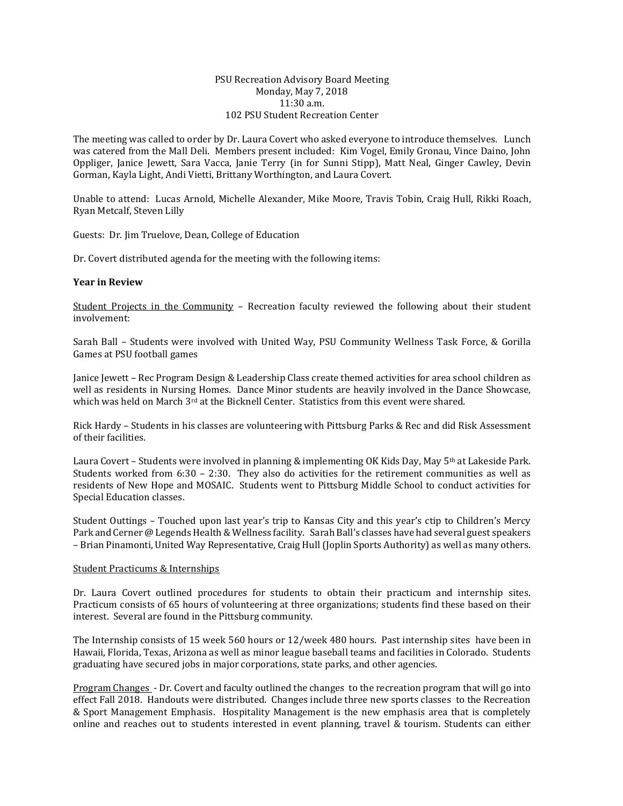## PSU Recreation Advisory Board Meeting Monday, May 7, 2018 11:30 a.m. 102 PSU Student Recreation Center

The meeting was called to order by Dr. Laura Covert who asked everyone to introduce themselves. Lunch was catered from the Mall Deli. Members present included: Kim Vogel, Emily Gronau, Vince Daino, John Oppliger, Janice Jewett, Sara Vacca, Janie Terry (in for Sunni Stipp), Matt Neal, Ginger Cawley, Devin Gorman, Kayla Light, Andi Vietti, Brittany Worthington, and Laura Covert.

Unable to attend: Lucas Arnold, Michelle Alexander, Mike Moore, Travis Tobin, Craig Hull, Rikki Roach, Ryan Metcalf, Steven Lilly

Guests: Dr. Jim Truelove, Dean, College of Education

Dr. Covert distributed agenda for the meeting with the following items:

## **Year in Review**

Student Projects in the Community – Recreation faculty reviewed the following about their student involvement:

Sarah Ball – Students were involved with United Way, PSU Community Wellness Task Force, & Gorilla Games at PSU football games

Janice Jewett – Rec Program Design & Leadership Class create themed activities for area school children as well as residents in Nursing Homes. Dance Minor students are heavily involved in the Dance Showcase, which was held on March  $3^{rd}$  at the Bicknell Center. Statistics from this event were shared.

Rick Hardy – Students in his classes are volunteering with Pittsburg Parks & Rec and did Risk Assessment of their facilities.

Laura Covert – Students were involved in planning & implementing OK Kids Day, May 5th at Lakeside Park. Students worked from 6:30 – 2:30. They also do activities for the retirement communities as well as residents of New Hope and MOSAIC. Students went to Pittsburg Middle School to conduct activities for Special Education classes.

Student Outtings – Touched upon last year's trip to Kansas City and this year's ctip to Children's Mercy Park and Cerner @ Legends Health & Wellness facility. Sarah Ball's classes have had several guest speakers – Brian Pinamonti, United Way Representative, Craig Hull (Joplin Sports Authority) as well as many others.

## Student Practicums & Internships

Dr. Laura Covert outlined procedures for students to obtain their practicum and internship sites. Practicum consists of 65 hours of volunteering at three organizations; students find these based on their interest. Several are found in the Pittsburg community.

The Internship consists of 15 week 560 hours or 12/week 480 hours. Past internship sites have been in Hawaii, Florida, Texas, Arizona as well as minor league baseball teams and facilities in Colorado. Students graduating have secured jobs in major corporations, state parks, and other agencies.

Program Changes - Dr. Covert and faculty outlined the changes to the recreation program that will go into effect Fall 2018. Handouts were distributed. Changes include three new sports classes to the Recreation & Sport Management Emphasis. Hospitality Management is the new emphasis area that is completely online and reaches out to students interested in event planning, travel & tourism. Students can either